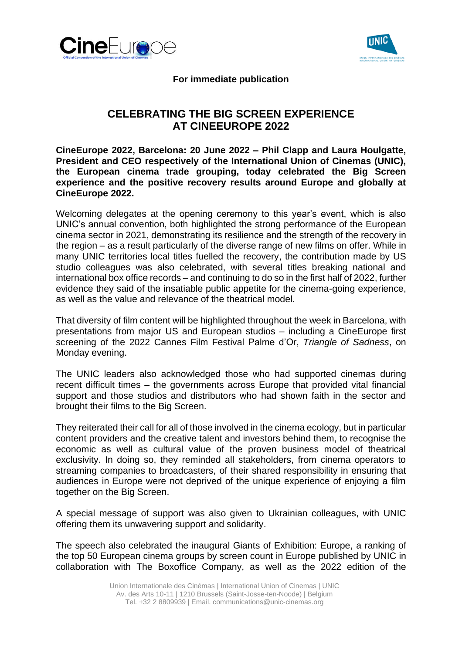



## **For immediate publication**

# **CELEBRATING THE BIG SCREEN EXPERIENCE AT CINEEUROPE 2022**

**CineEurope 2022, Barcelona: 20 June 2022 – Phil Clapp and Laura Houlgatte, President and CEO respectively of the International Union of Cinemas (UNIC), the European cinema trade grouping, today celebrated the Big Screen experience and the positive recovery results around Europe and globally at CineEurope 2022.** 

Welcoming delegates at the opening ceremony to this year's event, which is also UNIC's annual convention, both highlighted the strong performance of the European cinema sector in 2021, demonstrating its resilience and the strength of the recovery in the region – as a result particularly of the diverse range of new films on offer. While in many UNIC territories local titles fuelled the recovery, the contribution made by US studio colleagues was also celebrated, with several titles breaking national and international box office records – and continuing to do so in the first half of 2022, further evidence they said of the insatiable public appetite for the cinema-going experience, as well as the value and relevance of the theatrical model.

That diversity of film content will be highlighted throughout the week in Barcelona, with presentations from major US and European studios – including a CineEurope first screening of the 2022 Cannes Film Festival Palme d'Or, *Triangle of Sadness*, on Monday evening.

The UNIC leaders also acknowledged those who had supported cinemas during recent difficult times – the governments across Europe that provided vital financial support and those studios and distributors who had shown faith in the sector and brought their films to the Big Screen.

They reiterated their call for all of those involved in the cinema ecology, but in particular content providers and the creative talent and investors behind them, to recognise the economic as well as cultural value of the proven business model of theatrical exclusivity. In doing so, they reminded all stakeholders, from cinema operators to streaming companies to broadcasters, of their shared responsibility in ensuring that audiences in Europe were not deprived of the unique experience of enjoying a film together on the Big Screen.

A special message of support was also given to Ukrainian colleagues, with UNIC offering them its unwavering support and solidarity.

The speech also celebrated the inaugural Giants of Exhibition: Europe, a ranking of the top 50 European cinema groups by screen count in Europe published by UNIC in collaboration with The Boxoffice Company, as well as the 2022 edition of the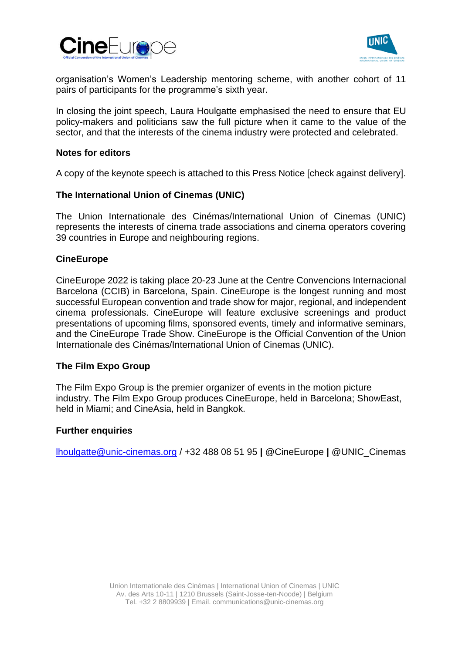



organisation's Women's Leadership mentoring scheme, with another cohort of 11 pairs of participants for the programme's sixth year.

In closing the joint speech, Laura Houlgatte emphasised the need to ensure that EU policy-makers and politicians saw the full picture when it came to the value of the sector, and that the interests of the cinema industry were protected and celebrated.

## **Notes for editors**

A copy of the keynote speech is attached to this Press Notice [check against delivery].

## **The International Union of Cinemas (UNIC)**

The Union Internationale des Cinémas/International Union of Cinemas (UNIC) represents the interests of cinema trade associations and cinema operators covering 39 countries in Europe and neighbouring regions.

### **CineEurope**

CineEurope 2022 is taking place 20-23 June at the Centre Convencions Internacional Barcelona (CCIB) in Barcelona, Spain. CineEurope is the longest running and most successful European convention and trade show for major, regional, and independent cinema professionals. CineEurope will feature exclusive screenings and product presentations of upcoming films, sponsored events, timely and informative seminars, and the CineEurope Trade Show. CineEurope is the Official Convention of the Union Internationale des Cinémas/International Union of Cinemas (UNIC).

### **The Film Expo Group**

The Film Expo Group is the premier organizer of events in the motion picture industry. The Film Expo Group produces CineEurope, held in Barcelona; ShowEast, held in Miami; and CineAsia, held in Bangkok.

### **Further enquiries**

[lhoulgatte@unic-cinemas.org](mailto:lhoulgatte@unic-cinemas.org) / +32 488 08 51 95 **|** @CineEurope **|** @UNIC\_Cinemas